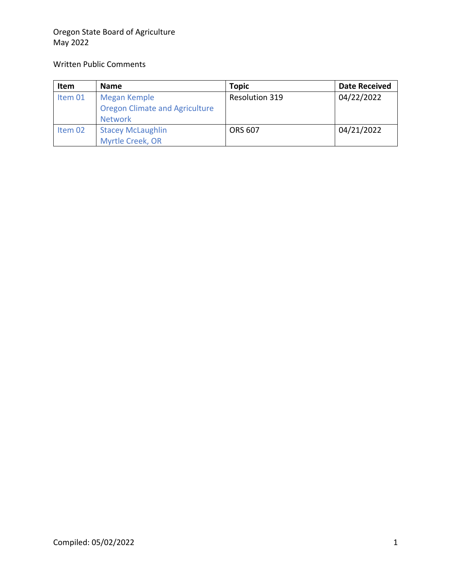### Oregon State Board of Agriculture May 2022

### Written Public Comments

| Item    | <b>Name</b>                                                             | <b>Topic</b>          | <b>Date Received</b> |
|---------|-------------------------------------------------------------------------|-----------------------|----------------------|
| Item 01 | Megan Kemple<br><b>Oregon Climate and Agriculture</b><br><b>Network</b> | <b>Resolution 319</b> | 04/22/2022           |
| Item 02 | <b>Stacey McLaughlin</b><br>Myrtle Creek, OR                            | <b>ORS 607</b>        | 04/21/2022           |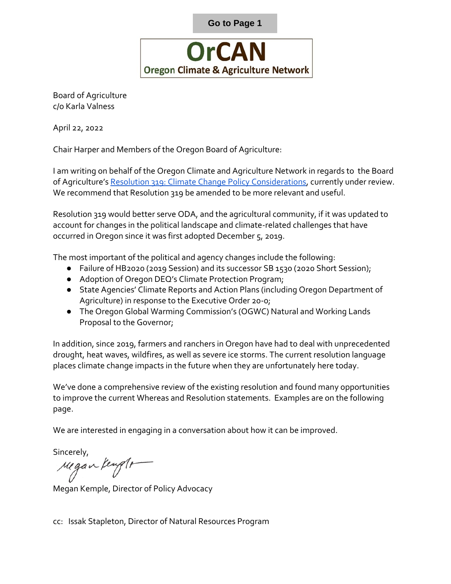

<span id="page-1-0"></span>Board of Agriculture c/o Karla Valness

April 22, 2022

Chair Harper and Members of the Oregon Board of Agriculture:

I am writing on behalf of the Oregon Climate and Agriculture Network in regards to the Board of Agriculture's [Resolution 319: Climate Change Policy Considerations,](https://www.oregon.gov/oda/AboutUs/Documents/Board%20of%20Agriculture/05-22/BoardResolution%20Packet_May2022.pdf?utm_medium=email&utm_source=govdeliveryard%20of%20Agriculture/05-22/BoardResolution%20Packet_May2022.pdf?utm_medium=email&utm_source=govdelivery) currently under review. We recommend that Resolution 319 be amended to be more relevant and useful.

Resolution 319 would better serve ODA, and the agricultural community, if it was updated to account for changes in the political landscape and climate-related challenges that have occurred in Oregon since it was first adopted December 5, 2019.

The most important of the political and agency changes include the following:

- Failure of HB2020 (2019 Session) and its successor SB 1530 (2020 Short Session);
- Adoption of Oregon DEQ's Climate Protection Program;
- State Agencies' Climate Reports and Action Plans (including Oregon Department of Agriculture) in response to the Executive Order 20-0;
- The Oregon Global Warming Commission's (OGWC) Natural and Working Lands Proposal to the Governor;

In addition, since 2019, farmers and ranchers in Oregon have had to deal with unprecedented drought, heat waves, wildfires, as well as severe ice storms. The current resolution language places climate change impacts in the future when they are unfortunately here today.

We've done a comprehensive review of the existing resolution and found many opportunities to improve the current Whereas and Resolution statements. Examples are on the following page.

We are interested in engaging in a conversation about how it can be improved.

Sincerely,

regan kengte

Megan Kemple, Director of Policy Advocacy

cc: Issak Stapleton, Director of Natural Resources Program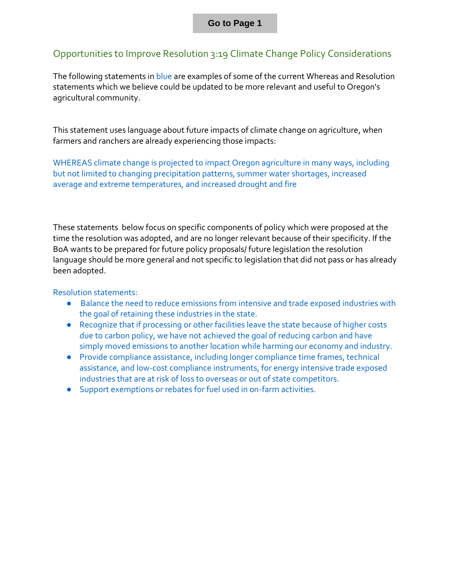## Opportunities to Improve Resolution 3:19 Climate Change Policy Considerations

The following statements in blue are examples of some of the current Whereas and Resolution statements which we believe could be updated to be more relevant and useful to Oregon's agricultural community.

This statement uses language about future impacts of climate change on agriculture, when farmers and ranchers are already experiencing those impacts:

WHEREAS climate change is projected to impact Oregon agriculture in many ways, including but not limited to changing precipitation patterns, summer water shortages, increased average and extreme temperatures, and increased drought and fire

These statements below focus on specific components of policy which were proposed at the time the resolution was adopted, and are no longer relevant because of their specificity. If the BoA wants to be prepared for future policy proposals/ future legislation the resolution language should be more general and not specific to legislation that did not pass or has already been adopted.

#### Resolution statements:

- Balance the need to reduce emissions from intensive and trade exposed industries with the goal of retaining these industries in the state.
- Recognize that if processing or other facilities leave the state because of higher costs due to carbon policy, we have not achieved the goal of reducing carbon and have simply moved emissions to another location while harming our economy and industry.
- Provide compliance assistance, including longer compliance time frames, technical assistance, and low-cost compliance instruments, for energy intensive trade exposed industries that are at risk of loss to overseas or out of state competitors.
- Support exemptions or rebates for fuel used in on-farm activities.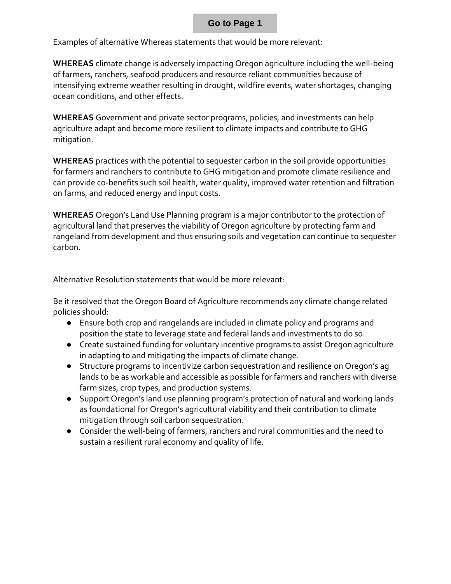Examples of alternative Whereas statements that would be more relevant:

**WHEREAS** climate change is adversely impacting Oregon agriculture including the well-being of farmers, ranchers, seafood producers and resource reliant communities because of intensifying extreme weather resulting in drought, wildfire events, water shortages, changing ocean conditions, and other effects.

**WHEREAS** Government and private sector programs, policies, and investments can help agriculture adapt and become more resilient to climate impacts and contribute to GHG mitigation.

**WHEREAS** practices with the potential to sequester carbon in the soil provide opportunities for farmers and ranchers to contribute to GHG mitigation and promote climate resilience and can provide co-benefits such soil health, water quality, improved water retention and filtration on farms, and reduced energy and input costs.

**WHEREAS** Oregon's Land Use Planning program is a major contributor to the protection of agricultural land that preserves the viability of Oregon agriculture by protecting farm and rangeland from development and thus ensuring soils and vegetation can continue to sequester carbon.

Alternative Resolution statements that would be more relevant:

Be it resolved that the Oregon Board of Agriculture recommends any climate change related policies should:

- Ensure both crop and rangelands are included in climate policy and programs and position the state to leverage state and federal lands and investments to do so.
- Create sustained funding for voluntary incentive programs to assist Oregon agriculture in adapting to and mitigating the impacts of climate change.
- Structure programs to incentivize carbon sequestration and resilience on Oregon's ag lands to be as workable and accessible as possible for farmers and ranchers with diverse farm sizes, crop types, and production systems.
- Support Oregon's land use planning program's protection of natural and working lands as foundational for Oregon's agricultural viability and their contribution to climate mitigation through soil carbon sequestration.
- Consider the well-being of farmers, ranchers and rural communities and the need to sustain a resilient rural economy and quality of life.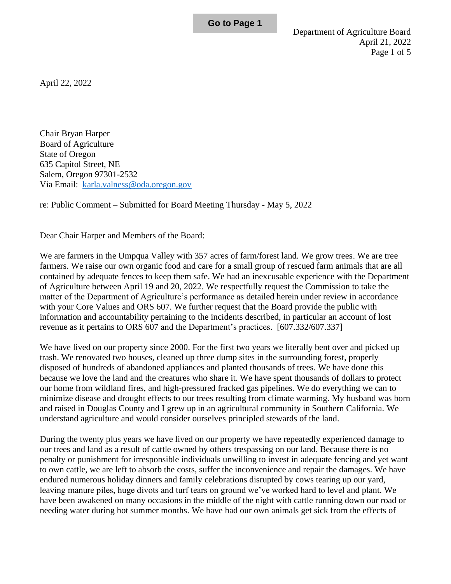<span id="page-4-0"></span>April 22, 2022

Chair Bryan Harper Board of Agriculture State of Oregon 635 Capitol Street, NE Salem, Oregon 97301-2532 Via Email: [karla.valness@oda.oregon.gov](mailto:karla.valness@oda.oregon.gov)

re: Public Comment – Submitted for Board Meeting Thursday - May 5, 2022

Dear Chair Harper and Members of the Board:

We are farmers in the Umpqua Valley with 357 acres of farm/forest land. We grow trees. We are tree farmers. We raise our own organic food and care for a small group of rescued farm animals that are all contained by adequate fences to keep them safe. We had an inexcusable experience with the Department of Agriculture between April 19 and 20, 2022. We respectfully request the Commission to take the matter of the Department of Agriculture's performance as detailed herein under review in accordance with your Core Values and ORS 607. We further request that the Board provide the public with information and accountability pertaining to the incidents described, in particular an account of lost revenue as it pertains to ORS 607 and the Department's practices. [607.332/607.337]

We have lived on our property since 2000. For the first two years we literally bent over and picked up trash. We renovated two houses, cleaned up three dump sites in the surrounding forest, properly disposed of hundreds of abandoned appliances and planted thousands of trees. We have done this because we love the land and the creatures who share it. We have spent thousands of dollars to protect our home from wildland fires, and high-pressured fracked gas pipelines. We do everything we can to minimize disease and drought effects to our trees resulting from climate warming. My husband was born and raised in Douglas County and I grew up in an agricultural community in Southern California. We understand agriculture and would consider ourselves principled stewards of the land.

During the twenty plus years we have lived on our property we have repeatedly experienced damage to our trees and land as a result of cattle owned by others trespassing on our land. Because there is no penalty or punishment for irresponsible individuals unwilling to invest in adequate fencing and yet want to own cattle, we are left to absorb the costs, suffer the inconvenience and repair the damages. We have endured numerous holiday dinners and family celebrations disrupted by cows tearing up our yard, leaving manure piles, huge divots and turf tears on ground we've worked hard to level and plant. We have been awakened on many occasions in the middle of the night with cattle running down our road or needing water during hot summer months. We have had our own animals get sick from the effects of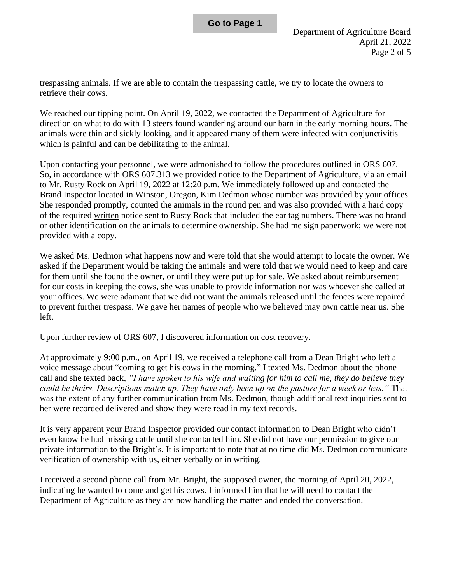trespassing animals. If we are able to contain the trespassing cattle, we try to locate the owners to retrieve their cows.

We reached our tipping point. On April 19, 2022, we contacted the Department of Agriculture for direction on what to do with 13 steers found wandering around our barn in the early morning hours. The animals were thin and sickly looking, and it appeared many of them were infected with conjunctivitis which is painful and can be debilitating to the animal.

Upon contacting your personnel, we were admonished to follow the procedures outlined in ORS 607. So, in accordance with ORS 607.313 we provided notice to the Department of Agriculture, via an email to Mr. Rusty Rock on April 19, 2022 at 12:20 p.m. We immediately followed up and contacted the Brand Inspector located in Winston, Oregon, Kim Dedmon whose number was provided by your offices. She responded promptly, counted the animals in the round pen and was also provided with a hard copy of the required written notice sent to Rusty Rock that included the ear tag numbers. There was no brand or other identification on the animals to determine ownership. She had me sign paperwork; we were not provided with a copy.

We asked Ms. Dedmon what happens now and were told that she would attempt to locate the owner. We asked if the Department would be taking the animals and were told that we would need to keep and care for them until she found the owner, or until they were put up for sale. We asked about reimbursement for our costs in keeping the cows, she was unable to provide information nor was whoever she called at your offices. We were adamant that we did not want the animals released until the fences were repaired to prevent further trespass. We gave her names of people who we believed may own cattle near us. She left.

Upon further review of ORS 607, I discovered information on cost recovery.

At approximately 9:00 p.m., on April 19, we received a telephone call from a Dean Bright who left a voice message about "coming to get his cows in the morning." I texted Ms. Dedmon about the phone call and she texted back, *"I have spoken to his wife and waiting for him to call me, they do believe they could be theirs. Descriptions match up. They have only been up on the pasture for a week or less."* That was the extent of any further communication from Ms. Dedmon, though additional text inquiries sent to her were recorded delivered and show they were read in my text records.

It is very apparent your Brand Inspector provided our contact information to Dean Bright who didn't even know he had missing cattle until she contacted him. She did not have our permission to give our private information to the Bright's. It is important to note that at no time did Ms. Dedmon communicate verification of ownership with us, either verbally or in writing.

I received a second phone call from Mr. Bright, the supposed owner, the morning of April 20, 2022, indicating he wanted to come and get his cows. I informed him that he will need to contact the Department of Agriculture as they are now handling the matter and ended the conversation.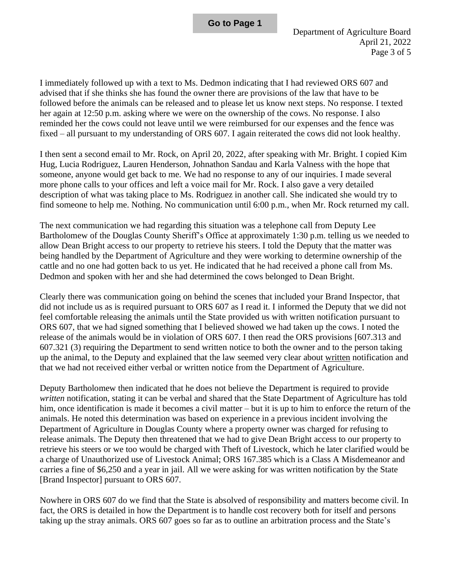I immediately followed up with a text to Ms. Dedmon indicating that I had reviewed ORS 607 and advised that if she thinks she has found the owner there are provisions of the law that have to be followed before the animals can be released and to please let us know next steps. No response. I texted her again at 12:50 p.m. asking where we were on the ownership of the cows. No response. I also reminded her the cows could not leave until we were reimbursed for our expenses and the fence was fixed – all pursuant to my understanding of ORS 607. I again reiterated the cows did not look healthy.

I then sent a second email to Mr. Rock, on April 20, 2022, after speaking with Mr. Bright. I copied Kim Hug, Lucia Rodriguez, Lauren Henderson, Johnathon Sandau and Karla Valness with the hope that someone, anyone would get back to me. We had no response to any of our inquiries. I made several more phone calls to your offices and left a voice mail for Mr. Rock. I also gave a very detailed description of what was taking place to Ms. Rodriguez in another call. She indicated she would try to find someone to help me. Nothing. No communication until 6:00 p.m., when Mr. Rock returned my call.

The next communication we had regarding this situation was a telephone call from Deputy Lee Bartholomew of the Douglas County Sheriff's Office at approximately 1:30 p.m. telling us we needed to allow Dean Bright access to our property to retrieve his steers. I told the Deputy that the matter was being handled by the Department of Agriculture and they were working to determine ownership of the cattle and no one had gotten back to us yet. He indicated that he had received a phone call from Ms. Dedmon and spoken with her and she had determined the cows belonged to Dean Bright.

Clearly there was communication going on behind the scenes that included your Brand Inspector, that did not include us as is required pursuant to ORS 607 as I read it. I informed the Deputy that we did not feel comfortable releasing the animals until the State provided us with written notification pursuant to ORS 607, that we had signed something that I believed showed we had taken up the cows. I noted the release of the animals would be in violation of ORS 607. I then read the ORS provisions [607.313 and 607.321 (3) requiring the Department to send written notice to both the owner and to the person taking up the animal, to the Deputy and explained that the law seemed very clear about written notification and that we had not received either verbal or written notice from the Department of Agriculture.

Deputy Bartholomew then indicated that he does not believe the Department is required to provide *written* notification, stating it can be verbal and shared that the State Department of Agriculture has told him, once identification is made it becomes a civil matter – but it is up to him to enforce the return of the animals. He noted this determination was based on experience in a previous incident involving the Department of Agriculture in Douglas County where a property owner was charged for refusing to release animals. The Deputy then threatened that we had to give Dean Bright access to our property to retrieve his steers or we too would be charged with Theft of Livestock, which he later clarified would be a charge of Unauthorized use of Livestock Animal; ORS 167.385 which is a Class A Misdemeanor and carries a fine of \$6,250 and a year in jail. All we were asking for was written notification by the State [Brand Inspector] pursuant to ORS 607.

Nowhere in ORS 607 do we find that the State is absolved of responsibility and matters become civil. In fact, the ORS is detailed in how the Department is to handle cost recovery both for itself and persons taking up the stray animals. ORS 607 goes so far as to outline an arbitration process and the State's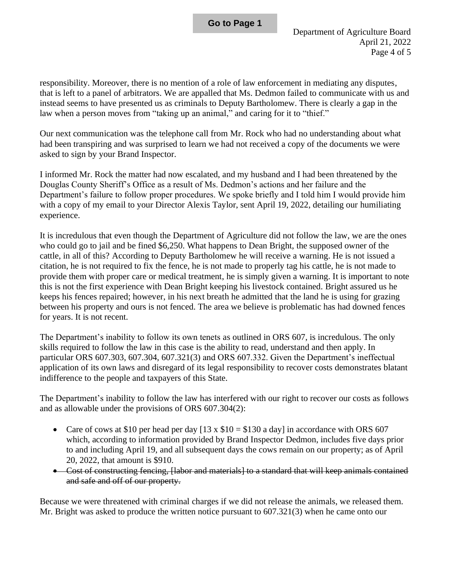responsibility. Moreover, there is no mention of a role of law enforcement in mediating any disputes, that is left to a panel of arbitrators. We are appalled that Ms. Dedmon failed to communicate with us and instead seems to have presented us as criminals to Deputy Bartholomew. There is clearly a gap in the law when a person moves from "taking up an animal," and caring for it to "thief."

Our next communication was the telephone call from Mr. Rock who had no understanding about what had been transpiring and was surprised to learn we had not received a copy of the documents we were asked to sign by your Brand Inspector.

I informed Mr. Rock the matter had now escalated, and my husband and I had been threatened by the Douglas County Sheriff's Office as a result of Ms. Dedmon's actions and her failure and the Department's failure to follow proper procedures. We spoke briefly and I told him I would provide him with a copy of my email to your Director Alexis Taylor, sent April 19, 2022, detailing our humiliating experience.

It is incredulous that even though the Department of Agriculture did not follow the law, we are the ones who could go to jail and be fined \$6,250. What happens to Dean Bright, the supposed owner of the cattle, in all of this? According to Deputy Bartholomew he will receive a warning. He is not issued a citation, he is not required to fix the fence, he is not made to properly tag his cattle, he is not made to provide them with proper care or medical treatment, he is simply given a warning. It is important to note this is not the first experience with Dean Bright keeping his livestock contained. Bright assured us he keeps his fences repaired; however, in his next breath he admitted that the land he is using for grazing between his property and ours is not fenced. The area we believe is problematic has had downed fences for years. It is not recent.

The Department's inability to follow its own tenets as outlined in ORS 607, is incredulous. The only skills required to follow the law in this case is the ability to read, understand and then apply. In particular ORS 607.303, 607.304, 607.321(3) and ORS 607.332. Given the Department's ineffectual application of its own laws and disregard of its legal responsibility to recover costs demonstrates blatant indifference to the people and taxpayers of this State.

The Department's inability to follow the law has interfered with our right to recover our costs as follows and as allowable under the provisions of ORS 607.304(2):

- Care of cows at \$10 per head per day  $[13 \times $10 = $130$  a day] in accordance with ORS 607 which, according to information provided by Brand Inspector Dedmon, includes five days prior to and including April 19, and all subsequent days the cows remain on our property; as of April 20, 2022, that amount is \$910.
- Cost of constructing fencing, [labor and materials] to a standard that will keep animals contained and safe and off of our property.

Because we were threatened with criminal charges if we did not release the animals, we released them. Mr. Bright was asked to produce the written notice pursuant to 607.321(3) when he came onto our